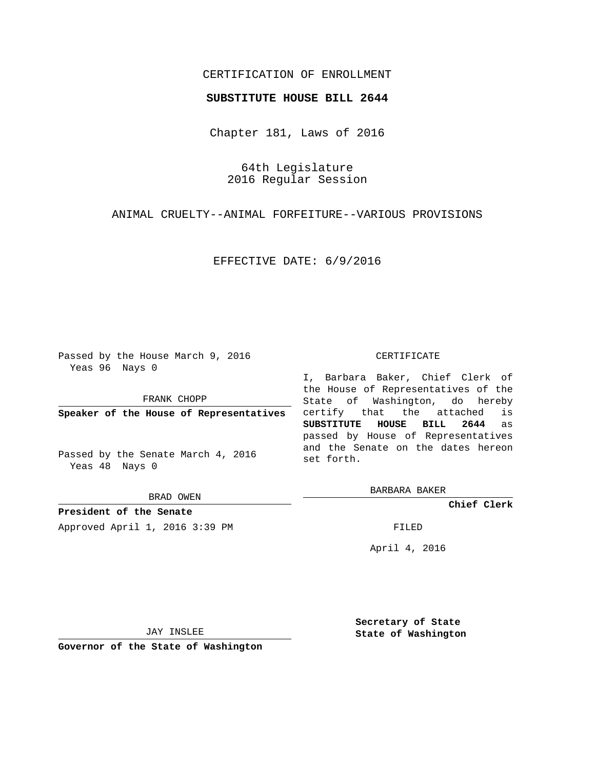## CERTIFICATION OF ENROLLMENT

### **SUBSTITUTE HOUSE BILL 2644**

Chapter 181, Laws of 2016

64th Legislature 2016 Regular Session

ANIMAL CRUELTY--ANIMAL FORFEITURE--VARIOUS PROVISIONS

EFFECTIVE DATE: 6/9/2016

Passed by the House March 9, 2016 Yeas 96 Nays 0

FRANK CHOPP

**Speaker of the House of Representatives**

Passed by the Senate March 4, 2016 Yeas 48 Nays 0

BRAD OWEN

**President of the Senate**

Approved April 1, 2016 3:39 PM FILED

#### CERTIFICATE

I, Barbara Baker, Chief Clerk of the House of Representatives of the State of Washington, do hereby certify that the attached is **SUBSTITUTE HOUSE BILL 2644** as passed by House of Representatives and the Senate on the dates hereon set forth.

BARBARA BAKER

**Chief Clerk**

April 4, 2016

JAY INSLEE

**Governor of the State of Washington**

**Secretary of State State of Washington**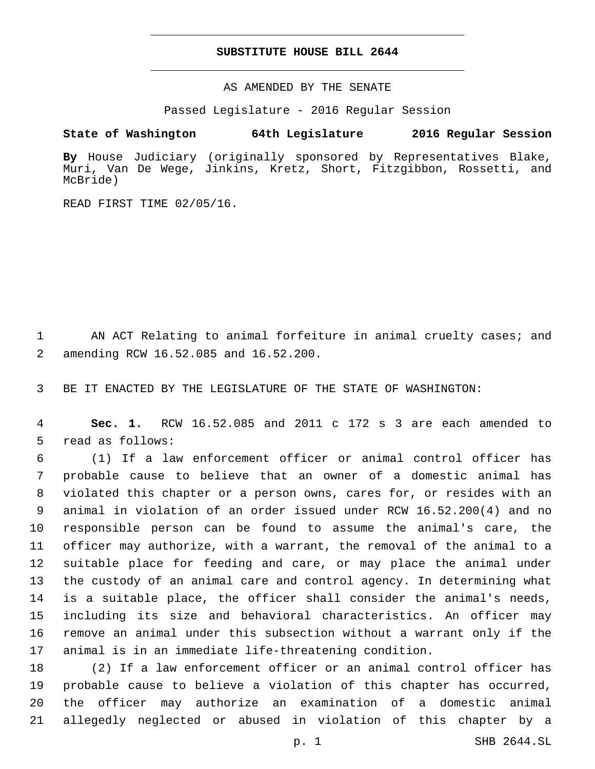### **SUBSTITUTE HOUSE BILL 2644**

AS AMENDED BY THE SENATE

Passed Legislature - 2016 Regular Session

# **State of Washington 64th Legislature 2016 Regular Session**

**By** House Judiciary (originally sponsored by Representatives Blake, Muri, Van De Wege, Jinkins, Kretz, Short, Fitzgibbon, Rossetti, and McBride)

READ FIRST TIME 02/05/16.

1 AN ACT Relating to animal forfeiture in animal cruelty cases; and amending RCW 16.52.085 and 16.52.200.2

3 BE IT ENACTED BY THE LEGISLATURE OF THE STATE OF WASHINGTON:

4 **Sec. 1.** RCW 16.52.085 and 2011 c 172 s 3 are each amended to 5 read as follows:

 (1) If a law enforcement officer or animal control officer has probable cause to believe that an owner of a domestic animal has violated this chapter or a person owns, cares for, or resides with an animal in violation of an order issued under RCW 16.52.200(4) and no responsible person can be found to assume the animal's care, the officer may authorize, with a warrant, the removal of the animal to a suitable place for feeding and care, or may place the animal under the custody of an animal care and control agency. In determining what is a suitable place, the officer shall consider the animal's needs, including its size and behavioral characteristics. An officer may remove an animal under this subsection without a warrant only if the animal is in an immediate life-threatening condition.

 (2) If a law enforcement officer or an animal control officer has probable cause to believe a violation of this chapter has occurred, the officer may authorize an examination of a domestic animal allegedly neglected or abused in violation of this chapter by a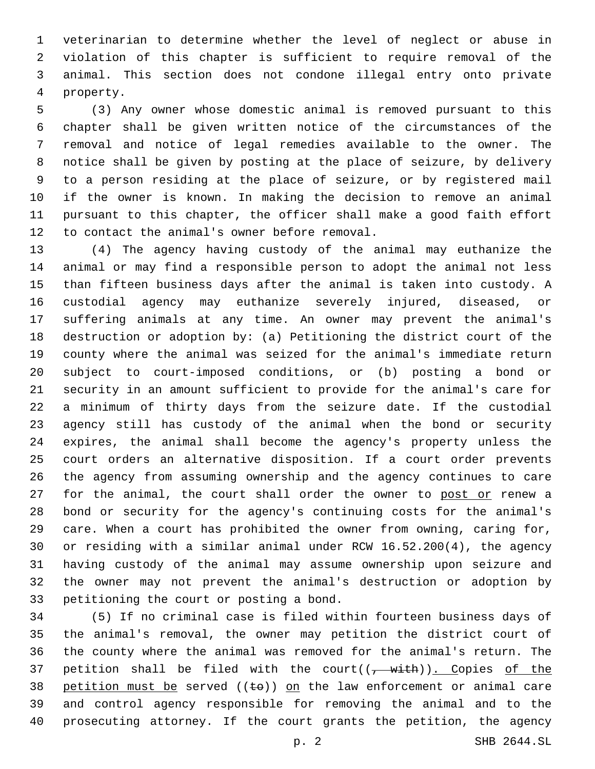veterinarian to determine whether the level of neglect or abuse in violation of this chapter is sufficient to require removal of the animal. This section does not condone illegal entry onto private 4 property.

 (3) Any owner whose domestic animal is removed pursuant to this chapter shall be given written notice of the circumstances of the removal and notice of legal remedies available to the owner. The notice shall be given by posting at the place of seizure, by delivery to a person residing at the place of seizure, or by registered mail if the owner is known. In making the decision to remove an animal pursuant to this chapter, the officer shall make a good faith effort 12 to contact the animal's owner before removal.

 (4) The agency having custody of the animal may euthanize the animal or may find a responsible person to adopt the animal not less than fifteen business days after the animal is taken into custody. A custodial agency may euthanize severely injured, diseased, or suffering animals at any time. An owner may prevent the animal's destruction or adoption by: (a) Petitioning the district court of the county where the animal was seized for the animal's immediate return subject to court-imposed conditions, or (b) posting a bond or security in an amount sufficient to provide for the animal's care for a minimum of thirty days from the seizure date. If the custodial agency still has custody of the animal when the bond or security expires, the animal shall become the agency's property unless the court orders an alternative disposition. If a court order prevents the agency from assuming ownership and the agency continues to care 27 for the animal, the court shall order the owner to post or renew a bond or security for the agency's continuing costs for the animal's care. When a court has prohibited the owner from owning, caring for, or residing with a similar animal under RCW 16.52.200(4), the agency having custody of the animal may assume ownership upon seizure and the owner may not prevent the animal's destruction or adoption by 33 petitioning the court or posting a bond.

 (5) If no criminal case is filed within fourteen business days of the animal's removal, the owner may petition the district court of the county where the animal was removed for the animal's return. The 37 petition shall be filed with the court( $(-$  with)). Copies of the 38 petition must be served  $((\pm e))$  on the law enforcement or animal care and control agency responsible for removing the animal and to the prosecuting attorney. If the court grants the petition, the agency

p. 2 SHB 2644.SL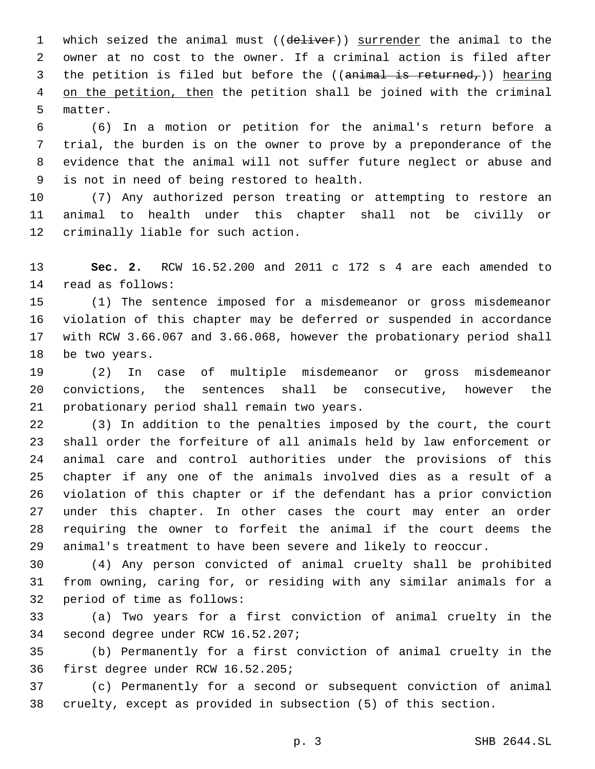1 which seized the animal must ((deliver)) surrender the animal to the owner at no cost to the owner. If a criminal action is filed after 3 the petition is filed but before the ((animal is returned,)) hearing 4 on the petition, then the petition shall be joined with the criminal 5 matter.

 (6) In a motion or petition for the animal's return before a trial, the burden is on the owner to prove by a preponderance of the evidence that the animal will not suffer future neglect or abuse and 9 is not in need of being restored to health.

 (7) Any authorized person treating or attempting to restore an animal to health under this chapter shall not be civilly or 12 criminally liable for such action.

 **Sec. 2.** RCW 16.52.200 and 2011 c 172 s 4 are each amended to 14 read as follows:

 (1) The sentence imposed for a misdemeanor or gross misdemeanor violation of this chapter may be deferred or suspended in accordance with RCW 3.66.067 and 3.66.068, however the probationary period shall 18 be two years.

 (2) In case of multiple misdemeanor or gross misdemeanor convictions, the sentences shall be consecutive, however the 21 probationary period shall remain two years.

 (3) In addition to the penalties imposed by the court, the court shall order the forfeiture of all animals held by law enforcement or animal care and control authorities under the provisions of this chapter if any one of the animals involved dies as a result of a violation of this chapter or if the defendant has a prior conviction under this chapter. In other cases the court may enter an order requiring the owner to forfeit the animal if the court deems the animal's treatment to have been severe and likely to reoccur.

 (4) Any person convicted of animal cruelty shall be prohibited from owning, caring for, or residing with any similar animals for a 32 period of time as follows:

 (a) Two years for a first conviction of animal cruelty in the 34 second degree under RCW 16.52.207;

 (b) Permanently for a first conviction of animal cruelty in the 36 first degree under RCW 16.52.205;

 (c) Permanently for a second or subsequent conviction of animal cruelty, except as provided in subsection (5) of this section.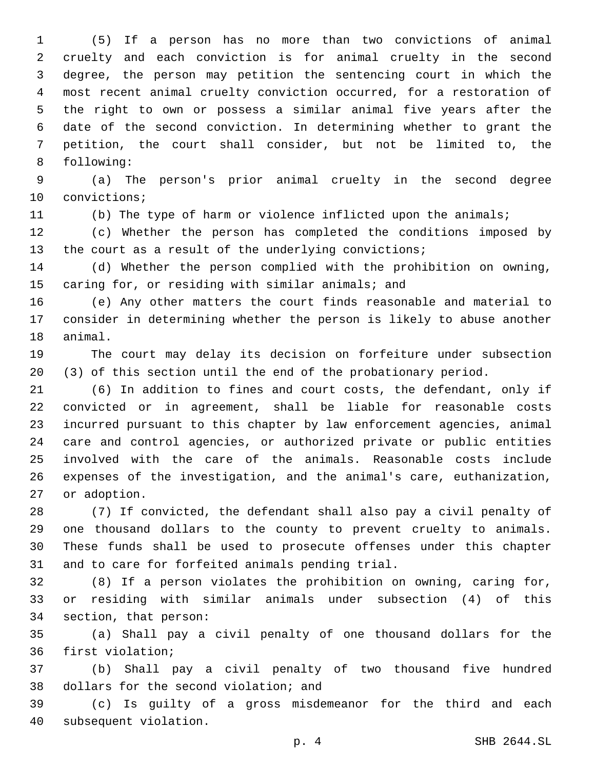(5) If a person has no more than two convictions of animal cruelty and each conviction is for animal cruelty in the second degree, the person may petition the sentencing court in which the most recent animal cruelty conviction occurred, for a restoration of the right to own or possess a similar animal five years after the date of the second conviction. In determining whether to grant the petition, the court shall consider, but not be limited to, the 8 following:

 (a) The person's prior animal cruelty in the second degree 10 convictions;

(b) The type of harm or violence inflicted upon the animals;

 (c) Whether the person has completed the conditions imposed by 13 the court as a result of the underlying convictions;

 (d) Whether the person complied with the prohibition on owning, 15 caring for, or residing with similar animals; and

 (e) Any other matters the court finds reasonable and material to consider in determining whether the person is likely to abuse another 18 animal.

 The court may delay its decision on forfeiture under subsection (3) of this section until the end of the probationary period.

 (6) In addition to fines and court costs, the defendant, only if convicted or in agreement, shall be liable for reasonable costs incurred pursuant to this chapter by law enforcement agencies, animal care and control agencies, or authorized private or public entities involved with the care of the animals. Reasonable costs include expenses of the investigation, and the animal's care, euthanization, 27 or adoption.

 (7) If convicted, the defendant shall also pay a civil penalty of one thousand dollars to the county to prevent cruelty to animals. These funds shall be used to prosecute offenses under this chapter 31 and to care for forfeited animals pending trial.

 (8) If a person violates the prohibition on owning, caring for, or residing with similar animals under subsection (4) of this 34 section, that person:

 (a) Shall pay a civil penalty of one thousand dollars for the 36 first violation;

 (b) Shall pay a civil penalty of two thousand five hundred 38 dollars for the second violation; and

 (c) Is guilty of a gross misdemeanor for the third and each 40 subsequent violation.